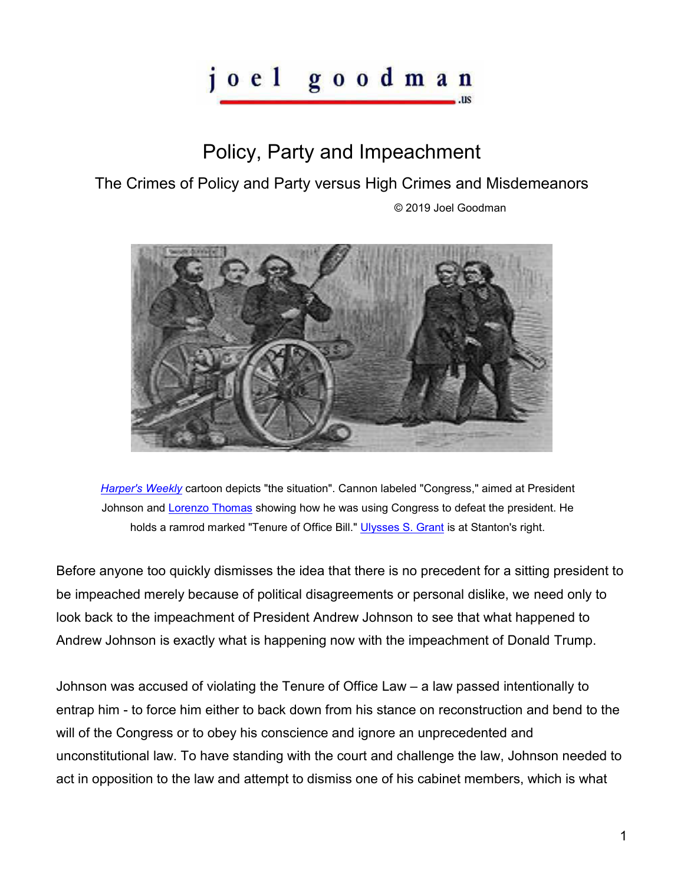## joel goodman

## Policy, Party and Impeachment

The Crimes of Policy and Party versus High Crimes and Misdemeanors

© 2019 Joel Goodman



*[Harper's Weekly](https://en.wikipedia.org/wiki/Harper%27s_Weekly)* cartoon depicts "the situation". Cannon labeled "Congress," aimed at President Johnson and [Lorenzo Thomas](https://en.wikipedia.org/wiki/Lorenzo_Thomas) showing how he was using Congress to defeat the president. He holds a ramrod marked "Tenure of Office Bill." [Ulysses S. Grant](https://en.wikipedia.org/wiki/Ulysses_S._Grant) is at Stanton's right.

Before anyone too quickly dismisses the idea that there is no precedent for a sitting president to be impeached merely because of political disagreements or personal dislike, we need only to look back to the impeachment of President Andrew Johnson to see that what happened to Andrew Johnson is exactly what is happening now with the impeachment of Donald Trump.

Johnson was accused of violating the Tenure of Office Law – a law passed intentionally to entrap him - to force him either to back down from his stance on reconstruction and bend to the will of the Congress or to obey his conscience and ignore an unprecedented and unconstitutional law. To have standing with the court and challenge the law, Johnson needed to act in opposition to the law and attempt to dismiss one of his cabinet members, which is what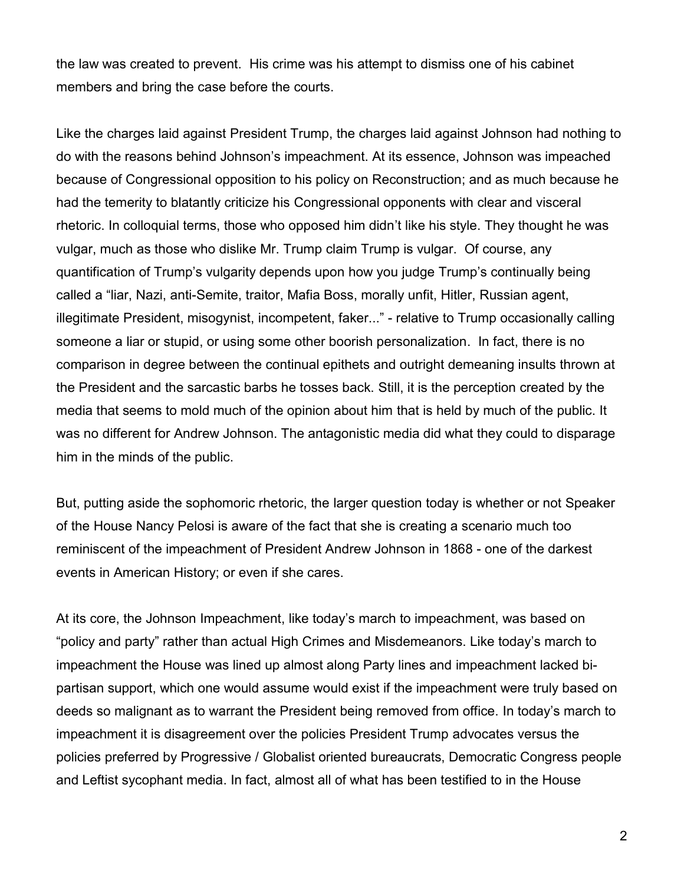the law was created to prevent. His crime was his attempt to dismiss one of his cabinet members and bring the case before the courts.

Like the charges laid against President Trump, the charges laid against Johnson had nothing to do with the reasons behind Johnson's impeachment. At its essence, Johnson was impeached because of Congressional opposition to his policy on Reconstruction; and as much because he had the temerity to blatantly criticize his Congressional opponents with clear and visceral rhetoric. In colloquial terms, those who opposed him didn't like his style. They thought he was vulgar, much as those who dislike Mr. Trump claim Trump is vulgar. Of course, any quantification of Trump's vulgarity depends upon how you judge Trump's continually being called a "liar, Nazi, anti-Semite, traitor, Mafia Boss, morally unfit, Hitler, Russian agent, illegitimate President, misogynist, incompetent, faker..." - relative to Trump occasionally calling someone a liar or stupid, or using some other boorish personalization. In fact, there is no comparison in degree between the continual epithets and outright demeaning insults thrown at the President and the sarcastic barbs he tosses back. Still, it is the perception created by the media that seems to mold much of the opinion about him that is held by much of the public. It was no different for Andrew Johnson. The antagonistic media did what they could to disparage him in the minds of the public.

But, putting aside the sophomoric rhetoric, the larger question today is whether or not Speaker of the House Nancy Pelosi is aware of the fact that she is creating a scenario much too reminiscent of the impeachment of President Andrew Johnson in 1868 - one of the darkest events in American History; or even if she cares.

At its core, the Johnson Impeachment, like today's march to impeachment, was based on "policy and party" rather than actual High Crimes and Misdemeanors. Like today's march to impeachment the House was lined up almost along Party lines and impeachment lacked bipartisan support, which one would assume would exist if the impeachment were truly based on deeds so malignant as to warrant the President being removed from office. In today's march to impeachment it is disagreement over the policies President Trump advocates versus the policies preferred by Progressive / Globalist oriented bureaucrats, Democratic Congress people and Leftist sycophant media. In fact, almost all of what has been testified to in the House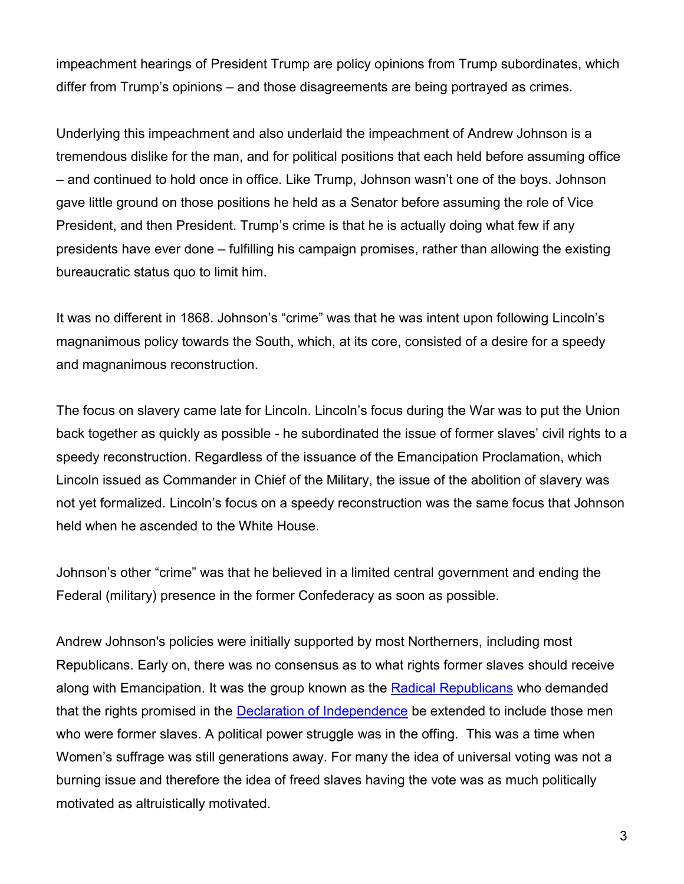impeachment hearings of President Trump are policy opinions from Trump subordinates, which differ from Trump's opinions – and those disagreements are being portrayed as crimes.

Underlying this impeachment and also underlaid the impeachment of Andrew Johnson is a tremendous dislike for the man, and for political positions that each held before assuming office – and continued to hold once in office. Like Trump, Johnson wasn't one of the boys. Johnson gave little ground on those positions he held as a Senator before assuming the role of Vice President, and then President. Trump's crime is that he is actually doing what few if any presidents have ever done – fulfilling his campaign promises, rather than allowing the existing bureaucratic status quo to limit him.

It was no different in 1868. Johnson's "crime" was that he was intent upon following Lincoln's magnanimous policy towards the South, which, at its core, consisted of a desire for a speedy and magnanimous reconstruction.

The focus on slavery came late for Lincoln. Lincoln's focus during the War was to put the Union back together as quickly as possible - he subordinated the issue of former slaves' civil rights to a speedy reconstruction. Regardless of the issuance of the Emancipation Proclamation, which Lincoln issued as Commander in Chief of the Military, the issue of the abolition of slavery was not yet formalized. Lincoln's focus on a speedy reconstruction was the same focus that Johnson held when he ascended to the White House.

Johnson's other "crime" was that he believed in a limited central government and ending the Federal (military) presence in the former Confederacy as soon as possible.

Andrew Johnson's policies were initially supported by most Northerners, including most Republicans. Early on, there was no consensus as to what rights former slaves should receive along with Emancipation. It was the group known as the [Radical Republicans](https://en.wikipedia.org/wiki/Radical_Republicans) who demanded that the rights promised in the **Declaration of Independence** be extended to include those men who were former slaves. A political power struggle was in the offing. This was a time when Women's suffrage was still generations away. For many the idea of universal voting was not a burning issue and therefore the idea of freed slaves having the vote was as much politically motivated as altruistically motivated.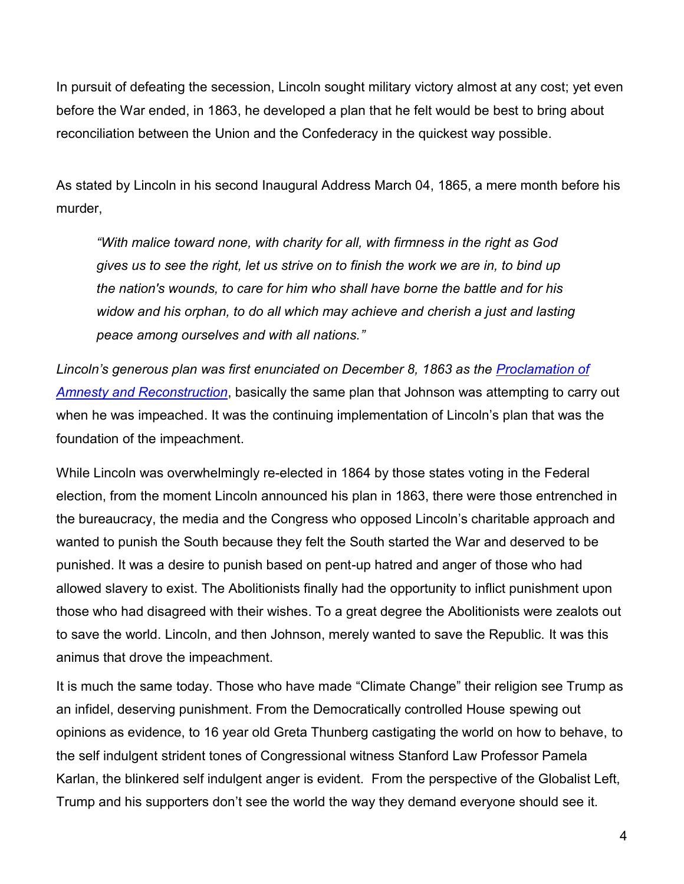In pursuit of defeating the secession, Lincoln sought military victory almost at any cost; yet even before the War ended, in 1863, he developed a plan that he felt would be best to bring about reconciliation between the Union and the Confederacy in the quickest way possible.

As stated by Lincoln in his second Inaugural Address March 04, 1865, a mere month before his murder,

*"With malice toward none, with charity for all, with firmness in the right as God gives us to see the right, let us strive on to finish the work we are in, to bind up the nation's wounds, to care for him who shall have borne the battle and for his widow and his orphan, to do all which may achieve and cherish a just and lasting peace among ourselves and with all nations."*

*Lincoln's generous plan was first enunciated on December 8, 1863 as the [Proclamation of](https://teachingamericanhistory.org/library/document/proclamation-of-amnesty-and-reconstruction/)  [Amnesty and Reconstruction](https://teachingamericanhistory.org/library/document/proclamation-of-amnesty-and-reconstruction/)*, basically the same plan that Johnson was attempting to carry out when he was impeached. It was the continuing implementation of Lincoln's plan that was the foundation of the impeachment.

While Lincoln was overwhelmingly re-elected in 1864 by those states voting in the Federal election, from the moment Lincoln announced his plan in 1863, there were those entrenched in the bureaucracy, the media and the Congress who opposed Lincoln's charitable approach and wanted to punish the South because they felt the South started the War and deserved to be punished. It was a desire to punish based on pent-up hatred and anger of those who had allowed slavery to exist. The Abolitionists finally had the opportunity to inflict punishment upon those who had disagreed with their wishes. To a great degree the Abolitionists were zealots out to save the world. Lincoln, and then Johnson, merely wanted to save the Republic. It was this animus that drove the impeachment.

It is much the same today. Those who have made "Climate Change" their religion see Trump as an infidel, deserving punishment. From the Democratically controlled House spewing out opinions as evidence, to 16 year old Greta Thunberg castigating the world on how to behave, to the self indulgent strident tones of Congressional witness Stanford Law Professor Pamela Karlan, the blinkered self indulgent anger is evident. From the perspective of the Globalist Left, Trump and his supporters don't see the world the way they demand everyone should see it.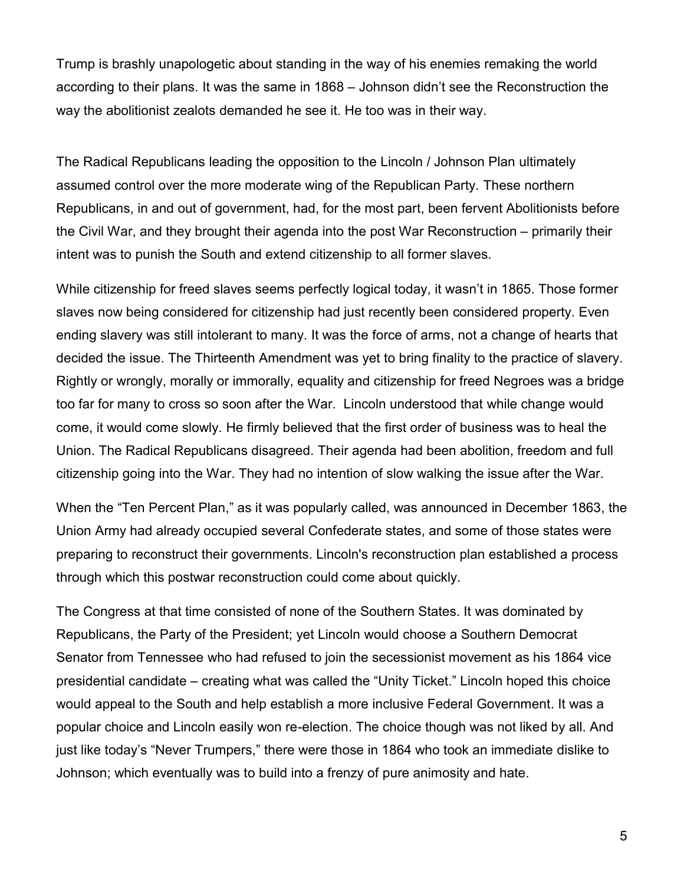Trump is brashly unapologetic about standing in the way of his enemies remaking the world according to their plans. It was the same in 1868 – Johnson didn't see the Reconstruction the way the abolitionist zealots demanded he see it. He too was in their way.

The Radical Republicans leading the opposition to the Lincoln / Johnson Plan ultimately assumed control over the more moderate wing of the Republican Party. These northern Republicans, in and out of government, had, for the most part, been fervent Abolitionists before the Civil War, and they brought their agenda into the post War Reconstruction – primarily their intent was to punish the South and extend citizenship to all former slaves.

While citizenship for freed slaves seems perfectly logical today, it wasn't in 1865. Those former slaves now being considered for citizenship had just recently been considered property. Even ending slavery was still intolerant to many. It was the force of arms, not a change of hearts that decided the issue. The Thirteenth Amendment was yet to bring finality to the practice of slavery. Rightly or wrongly, morally or immorally, equality and citizenship for freed Negroes was a bridge too far for many to cross so soon after the War. Lincoln understood that while change would come, it would come slowly. He firmly believed that the first order of business was to heal the Union. The Radical Republicans disagreed. Their agenda had been abolition, freedom and full citizenship going into the War. They had no intention of slow walking the issue after the War.

When the "Ten Percent Plan," as it was popularly called, was announced in December 1863, the Union Army had already occupied several Confederate states, and some of those states were preparing to reconstruct their governments. Lincoln's reconstruction plan established a process through which this postwar reconstruction could come about quickly.

The Congress at that time consisted of none of the Southern States. It was dominated by Republicans, the Party of the President; yet Lincoln would choose a Southern Democrat Senator from Tennessee who had refused to join the secessionist movement as his 1864 vice presidential candidate – creating what was called the "Unity Ticket." Lincoln hoped this choice would appeal to the South and help establish a more inclusive Federal Government. It was a popular choice and Lincoln easily won re-election. The choice though was not liked by all. And just like today's "Never Trumpers," there were those in 1864 who took an immediate dislike to Johnson; which eventually was to build into a frenzy of pure animosity and hate.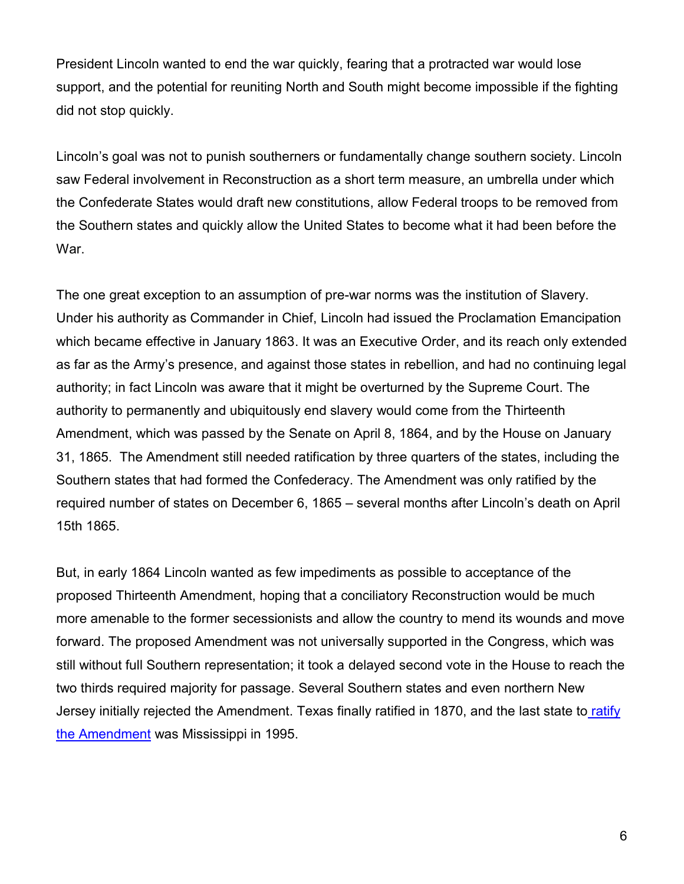President Lincoln wanted to end the war quickly, fearing that a protracted war would lose support, and the potential for reuniting North and South might become impossible if the fighting did not stop quickly.

Lincoln's goal was not to punish southerners or fundamentally change southern society. Lincoln saw Federal involvement in Reconstruction as a short term measure, an umbrella under which the Confederate States would draft new constitutions, allow Federal troops to be removed from the Southern states and quickly allow the United States to become what it had been before the War.

The one great exception to an assumption of pre-war norms was the institution of Slavery. Under his authority as Commander in Chief, Lincoln had issued the Proclamation Emancipation which became effective in January 1863. It was an Executive Order, and its reach only extended as far as the Army's presence, and against those states in rebellion, and had no continuing legal authority; in fact Lincoln was aware that it might be overturned by the Supreme Court. The authority to permanently and ubiquitously end slavery would come from the Thirteenth Amendment, which was passed by the Senate on April 8, 1864, and by the House on January 31, 1865. The Amendment still needed ratification by three quarters of the states, including the Southern states that had formed the Confederacy. The Amendment was only ratified by the required number of states on December 6, 1865 – several months after Lincoln's death on April 15th 1865.

But, in early 1864 Lincoln wanted as few impediments as possible to acceptance of the proposed Thirteenth Amendment, hoping that a conciliatory Reconstruction would be much more amenable to the former secessionists and allow the country to mend its wounds and move forward. The proposed Amendment was not universally supported in the Congress, which was still without full Southern representation; it took a delayed second vote in the House to reach the two thirds required majority for passage. Several Southern states and even northern New Jersey initially rejected the Amendment. Texas finally ratified in 1870, and the last state to ratify [the Amendment](https://www.usconstitution.net/constamrat.html) was Mississippi in 1995.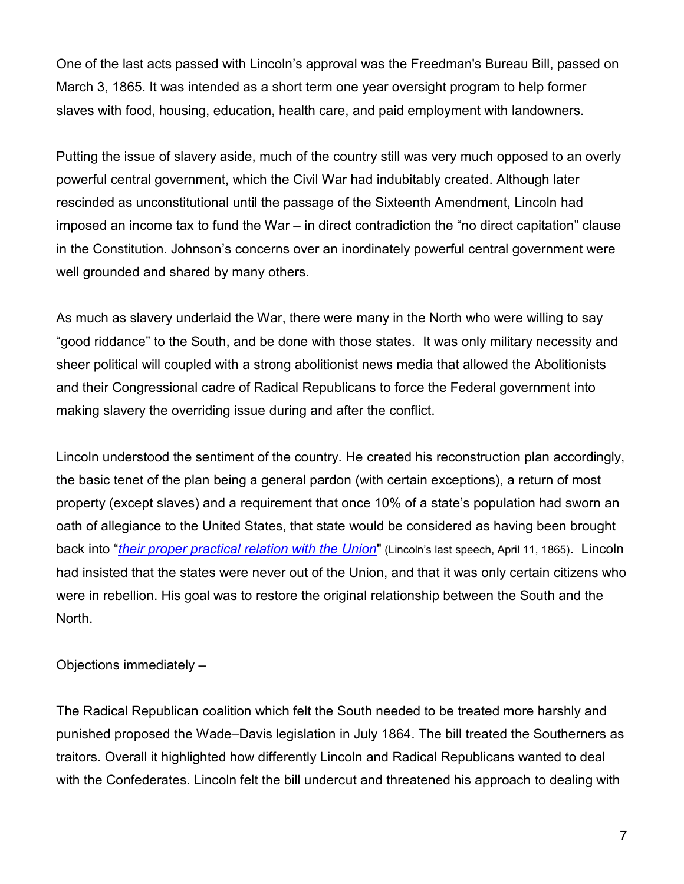One of the last acts passed with Lincoln's approval was the Freedman's Bureau Bill, passed on March 3, 1865. It was intended as a short term one year oversight program to help former slaves with food, housing, education, health care, and paid employment with landowners.

Putting the issue of slavery aside, much of the country still was very much opposed to an overly powerful central government, which the Civil War had indubitably created. Although later rescinded as unconstitutional until the passage of the Sixteenth Amendment, Lincoln had imposed an income tax to fund the War – in direct contradiction the "no direct capitation" clause in the Constitution. Johnson's concerns over an inordinately powerful central government were well grounded and shared by many others.

As much as slavery underlaid the War, there were many in the North who were willing to say "good riddance" to the South, and be done with those states. It was only military necessity and sheer political will coupled with a strong abolitionist news media that allowed the Abolitionists and their Congressional cadre of Radical Republicans to force the Federal government into making slavery the overriding issue during and after the conflict.

Lincoln understood the sentiment of the country. He created his reconstruction plan accordingly, the basic tenet of the plan being a general pardon (with certain exceptions), a return of most property (except slaves) and a requirement that once 10% of a state's population had sworn an oath of allegiance to the United States, that state would be considered as having been brought back into "*[their proper practical relation with the Union](http://hd.housedivided.dickinson.edu/node/40393)*" (Lincoln's last speech, April 11, 1865). Lincoln had insisted that the states were never out of the Union, and that it was only certain citizens who were in rebellion. His goal was to restore the original relationship between the South and the North.

Objections immediately –

The Radical Republican coalition which felt the South needed to be treated more harshly and punished proposed the Wade–Davis legislation in July 1864. The bill treated the Southerners as traitors. Overall it highlighted how differently Lincoln and Radical Republicans wanted to deal with the Confederates. Lincoln felt the bill undercut and threatened his approach to dealing with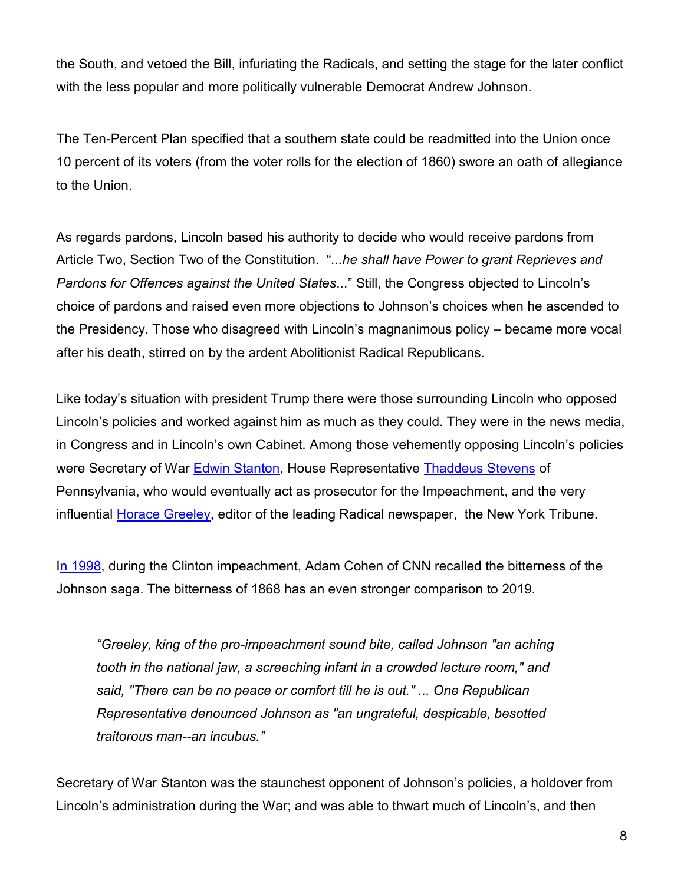the South, and vetoed the Bill, infuriating the Radicals, and setting the stage for the later conflict with the less popular and more politically vulnerable Democrat Andrew Johnson.

The Ten-Percent Plan specified that a southern state could be readmitted into the Union once 10 percent of its voters (from the voter rolls for the election of 1860) swore an oath of allegiance to the Union.

As regards pardons, Lincoln based his authority to decide who would receive pardons from Article Two, Section Two of the Constitution. "*...he shall have Power to grant Reprieves and Pardons for Offences against the United States...*" Still, the Congress objected to Lincoln's choice of pardons and raised even more objections to Johnson's choices when he ascended to the Presidency. Those who disagreed with Lincoln's magnanimous policy – became more vocal after his death, stirred on by the ardent Abolitionist Radical Republicans.

Like today's situation with president Trump there were those surrounding Lincoln who opposed Lincoln's policies and worked against him as much as they could. They were in the news media, in Congress and in Lincoln's own Cabinet. Among those vehemently opposing Lincoln's policies were Secretary of War [Edwin Stanton,](https://en.wikipedia.org/wiki/Edwin_Stanton) House Representative [Thaddeus Stevens](https://en.wikipedia.org/wiki/Thaddeus_Stevens) of Pennsylvania, who would eventually act as prosecutor for the Impeachment, and the very influential **Horace Greeley**, editor of the leading Radical newspaper, the New York Tribune.

[In 1998,](https://www.cnn.com/ALLPOLITICS/time/1998/12/15/johnson.html) during the Clinton impeachment, Adam Cohen of CNN recalled the bitterness of the Johnson saga. The bitterness of 1868 has an even stronger comparison to 2019.

*"Greeley, king of the pro-impeachment sound bite, called Johnson "an aching tooth in the national jaw, a screeching infant in a crowded lecture room," and said, "There can be no peace or comfort till he is out." ... One Republican Representative denounced Johnson as "an ungrateful, despicable, besotted traitorous man--an incubus."*

Secretary of War Stanton was the staunchest opponent of Johnson's policies, a holdover from Lincoln's administration during the War; and was able to thwart much of Lincoln's, and then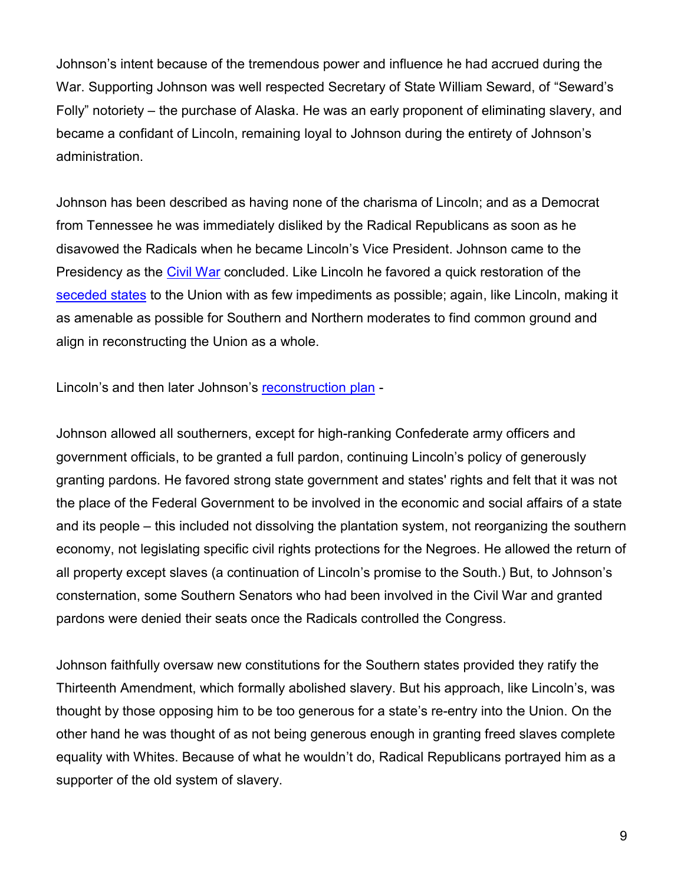Johnson's intent because of the tremendous power and influence he had accrued during the War. Supporting Johnson was well respected Secretary of State William Seward, of "Seward's Folly" notoriety – the purchase of Alaska. He was an early proponent of eliminating slavery, and became a confidant of Lincoln, remaining loyal to Johnson during the entirety of Johnson's administration.

Johnson has been described as having none of the charisma of Lincoln; and as a Democrat from Tennessee he was immediately disliked by the Radical Republicans as soon as he disavowed the Radicals when he became Lincoln's Vice President. Johnson came to the Presidency as the [Civil War](https://en.wikipedia.org/wiki/American_Civil_War) concluded. Like Lincoln he favored a quick restoration of the [seceded states](https://en.wikipedia.org/wiki/Secession_in_the_United_States) to the Union with as few impediments as possible; again, like Lincoln, making it as amenable as possible for Southern and Northern moderates to find common ground and align in reconstructing the Union as a whole.

Lincoln's and then later Johnson's [reconstruction plan](https://teachingamericanhistory.org/library/document/proclamation-of-amnesty-and-reconstruction-2/) -

Johnson allowed all southerners, except for high-ranking Confederate army officers and government officials, to be granted a full pardon, continuing Lincoln's policy of generously granting pardons. He favored strong state government and states' rights and felt that it was not the place of the Federal Government to be involved in the economic and social affairs of a state and its people – this included not dissolving the plantation system, not reorganizing the southern economy, not legislating specific civil rights protections for the Negroes. He allowed the return of all property except slaves (a continuation of Lincoln's promise to the South.) But, to Johnson's consternation, some Southern Senators who had been involved in the Civil War and granted pardons were denied their seats once the Radicals controlled the Congress.

Johnson faithfully oversaw new constitutions for the Southern states provided they ratify the Thirteenth Amendment, which formally abolished slavery. But his approach, like Lincoln's, was thought by those opposing him to be too generous for a state's re-entry into the Union. On the other hand he was thought of as not being generous enough in granting freed slaves complete equality with Whites. Because of what he wouldn't do, Radical Republicans portrayed him as a supporter of the old system of slavery.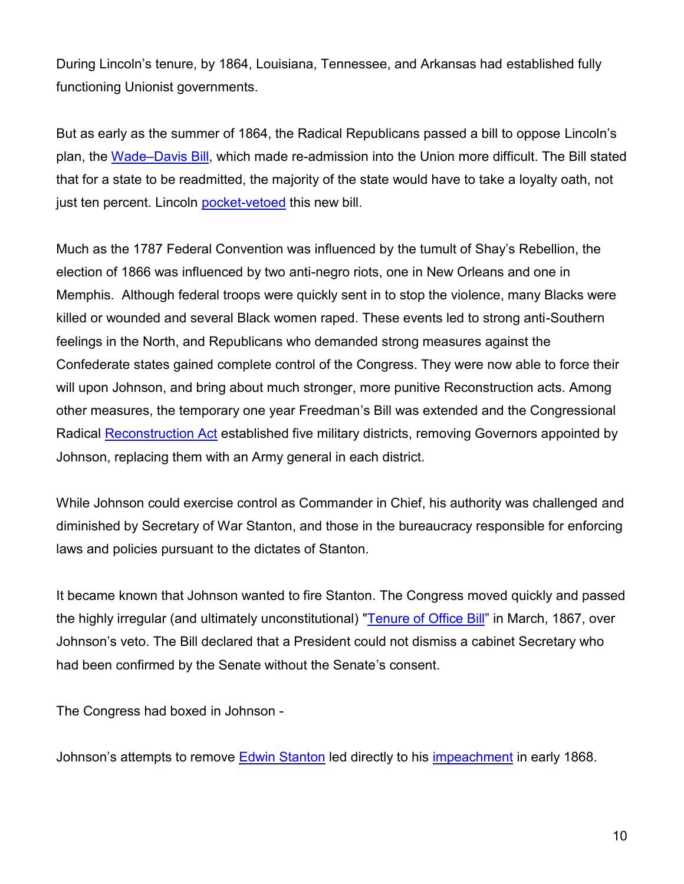During Lincoln's tenure, by 1864, Louisiana, Tennessee, and Arkansas had established fully functioning Unionist governments.

But as early as the summer of 1864, the Radical Republicans passed a bill to oppose Lincoln's plan, the Wade–[Davis Bill,](https://en.wikipedia.org/wiki/Wade%E2%80%93Davis_Bill) which made re-admission into the Union more difficult. The Bill stated that for a state to be readmitted, the majority of the state would have to take a loyalty oath, not just ten percent. Lincoln [pocket-vetoed](https://en.wikipedia.org/wiki/Pocket_veto) this new bill.

Much as the 1787 Federal Convention was influenced by the tumult of Shay's Rebellion, the election of 1866 was influenced by two anti-negro riots, one in New Orleans and one in Memphis. Although federal troops were quickly sent in to stop the violence, many Blacks were killed or wounded and several Black women raped. These events led to strong anti-Southern feelings in the North, and Republicans who demanded strong measures against the Confederate states gained complete control of the Congress. They were now able to force their will upon Johnson, and bring about much stronger, more punitive Reconstruction acts. Among other measures, the temporary one year Freedman's Bill was extended and the Congressional Radical [Reconstruction Act](https://en.wikipedia.org/wiki/Reconstruction_Act) established five military districts, removing Governors appointed by Johnson, replacing them with an Army general in each district.

While Johnson could exercise control as Commander in Chief, his authority was challenged and diminished by Secretary of War Stanton, and those in the bureaucracy responsible for enforcing laws and policies pursuant to the dictates of Stanton.

It became known that Johnson wanted to fire Stanton. The Congress moved quickly and passed the highly irregular (and ultimately unconstitutional) ["Tenure of Office Bill](https://en.wikipedia.org/wiki/Tenure_of_Office_Act_(1867))" in March, 1867, over Johnson's veto. The Bill declared that a President could not dismiss a cabinet Secretary who had been confirmed by the Senate without the Senate's consent.

The Congress had boxed in Johnson -

Johnson's attempts to remove [Edwin Stanton](https://en.wikipedia.org/wiki/Edwin_Stanton) led directly to his [impeachment](https://en.wikipedia.org/wiki/Impeachment_of_Andrew_Johnson) in early 1868.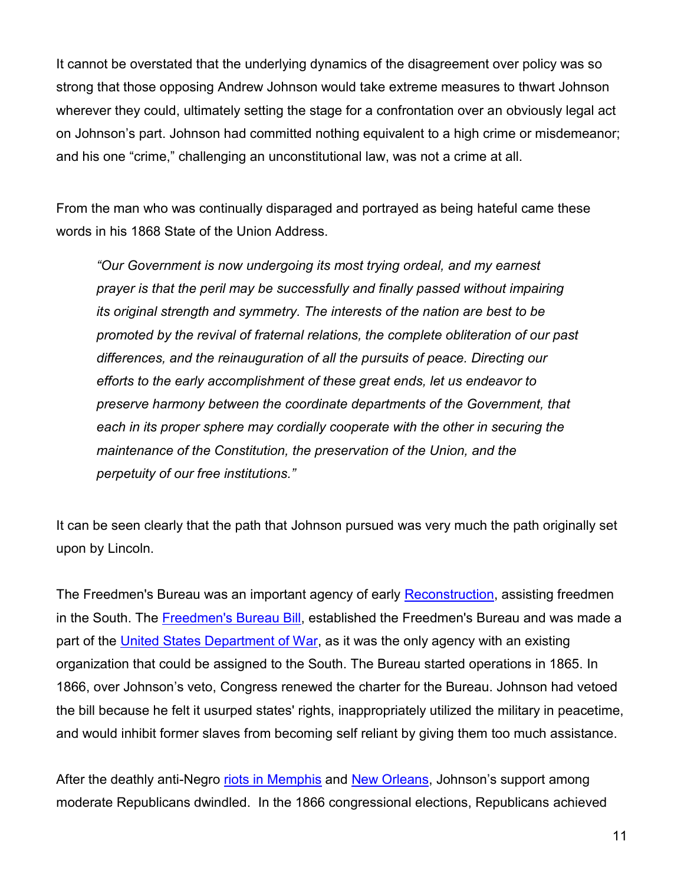It cannot be overstated that the underlying dynamics of the disagreement over policy was so strong that those opposing Andrew Johnson would take extreme measures to thwart Johnson wherever they could, ultimately setting the stage for a confrontation over an obviously legal act on Johnson's part. Johnson had committed nothing equivalent to a high crime or misdemeanor; and his one "crime," challenging an unconstitutional law, was not a crime at all.

From the man who was continually disparaged and portrayed as being hateful came these words in his 1868 State of the Union Address.

*"Our Government is now undergoing its most trying ordeal, and my earnest prayer is that the peril may be successfully and finally passed without impairing its original strength and symmetry. The interests of the nation are best to be promoted by the revival of fraternal relations, the complete obliteration of our past differences, and the reinauguration of all the pursuits of peace. Directing our efforts to the early accomplishment of these great ends, let us endeavor to preserve harmony between the coordinate departments of the Government, that each in its proper sphere may cordially cooperate with the other in securing the maintenance of the Constitution, the preservation of the Union, and the perpetuity of our free institutions."*

It can be seen clearly that the path that Johnson pursued was very much the path originally set upon by Lincoln.

The Freedmen's Bureau was an important agency of early [Reconstruction,](https://en.wikipedia.org/wiki/Reconstruction_era_of_the_United_States) assisting freedmen in the South. The [Freedmen's Bureau Bill,](https://en.wikipedia.org/wiki/Freedmen%27s_Bureau_bills) established the Freedmen's Bureau and was made a part of the [United States Department of War,](https://en.wikipedia.org/wiki/United_States_Department_of_War) as it was the only agency with an existing organization that could be assigned to the South. The Bureau started operations in 1865. In 1866, over Johnson's veto, Congress renewed the charter for the Bureau. Johnson had vetoed the bill because he felt it usurped states' rights, inappropriately utilized the military in peacetime, and would inhibit former slaves from becoming self reliant by giving them too much assistance.

After the deathly anti-Negro [riots in Memphis](https://en.wikipedia.org/wiki/Memphis_riots_of_1866) and [New Orleans,](https://en.wikipedia.org/wiki/New_Orleans_riot) Johnson's support among moderate Republicans dwindled. In the 1866 congressional elections, Republicans achieved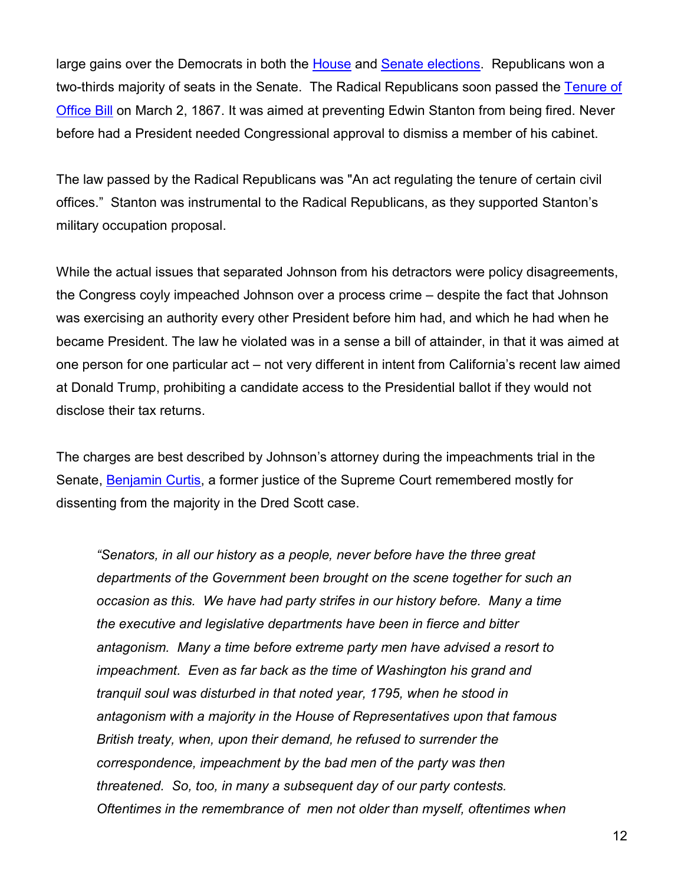large gains over the Democrats in both the [House](https://en.wikipedia.org/wiki/United_States_House_of_Representatives_elections,_1866) and [Senate elections.](https://en.wikipedia.org/wiki/United_States_Senate_elections,_1866) Republicans won a two-thirds majority of seats in the Senate. The Radical Republicans soon passed the [Tenure of](https://en.wikipedia.org/wiki/Tenure_of_Office_Act_(1867))  [Office Bill](https://en.wikipedia.org/wiki/Tenure_of_Office_Act_(1867)) on March 2, 1867. It was aimed at preventing Edwin Stanton from being fired. Never before had a President needed Congressional approval to dismiss a member of his cabinet.

The law passed by the Radical Republicans was "An act regulating the tenure of certain civil offices." Stanton was instrumental to the Radical Republicans, as they supported Stanton's military occupation proposal.

While the actual issues that separated Johnson from his detractors were policy disagreements, the Congress coyly impeached Johnson over a process crime – despite the fact that Johnson was exercising an authority every other President before him had, and which he had when he became President. The law he violated was in a sense a bill of attainder, in that it was aimed at one person for one particular act – not very different in intent from California's recent law aimed at Donald Trump, prohibiting a candidate access to the Presidential ballot if they would not disclose their tax returns.

The charges are best described by Johnson's attorney during the impeachments trial in the Senate, [Benjamin Curtis,](https://www.famous-trials.com/images/ftrials/Johnson/img/CURTIS.jpg) a former justice of the Supreme Court remembered mostly for dissenting from the majority in the Dred Scott case.

*"Senators, in all our history as a people, never before have the three great departments of the Government been brought on the scene together for such an occasion as this. We have had party strifes in our history before. Many a time the executive and legislative departments have been in fierce and bitter antagonism. Many a time before extreme party men have advised a resort to impeachment. Even as far back as the time of Washington his grand and tranquil soul was disturbed in that noted year, 1795, when he stood in antagonism with a majority in the House of Representatives upon that famous British treaty, when, upon their demand, he refused to surrender the correspondence, impeachment by the bad men of the party was then threatened. So, too, in many a subsequent day of our party contests. Oftentimes in the remembrance of men not older than myself, oftentimes when*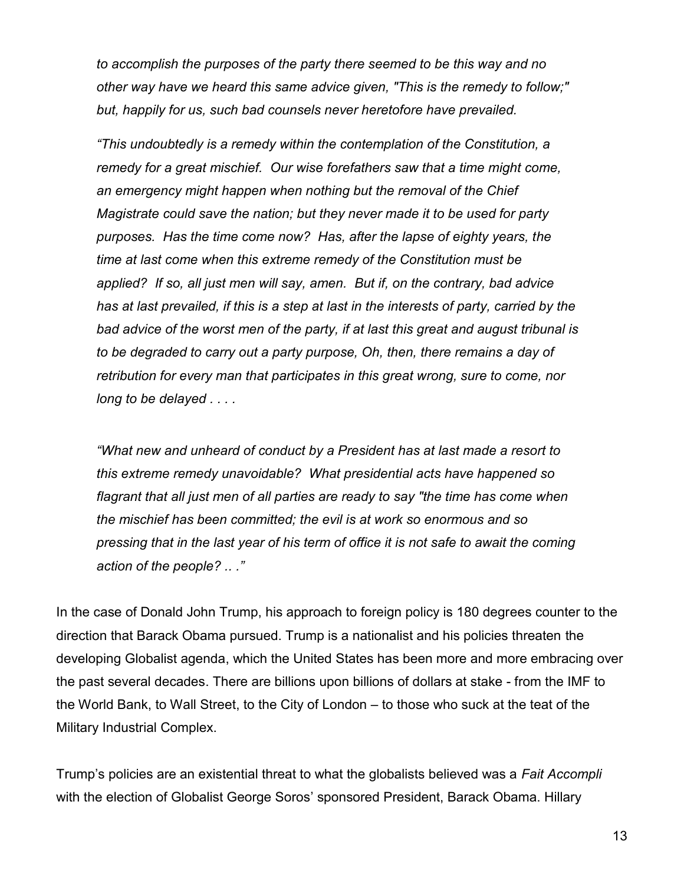*to accomplish the purposes of the party there seemed to be this way and no other way have we heard this same advice given, "This is the remedy to follow;" but, happily for us, such bad counsels never heretofore have prevailed.* 

*"This undoubtedly is a remedy within the contemplation of the Constitution, a remedy for a great mischief. Our wise forefathers saw that a time might come, an emergency might happen when nothing but the removal of the Chief Magistrate could save the nation; but they never made it to be used for party purposes. Has the time come now? Has, after the lapse of eighty years, the time at last come when this extreme remedy of the Constitution must be applied? If so, all just men will say, amen. But if, on the contrary, bad advice has at last prevailed, if this is a step at last in the interests of party, carried by the bad advice of the worst men of the party, if at last this great and august tribunal is to be degraded to carry out a party purpose, Oh, then, there remains a day of retribution for every man that participates in this great wrong, sure to come, nor long to be delayed . . . .* 

*"What new and unheard of conduct by a President has at last made a resort to this extreme remedy unavoidable? What presidential acts have happened so flagrant that all just men of all parties are ready to say "the time has come when the mischief has been committed; the evil is at work so enormous and so pressing that in the last year of his term of office it is not safe to await the coming action of the people? .. ."*

In the case of Donald John Trump, his approach to foreign policy is 180 degrees counter to the direction that Barack Obama pursued. Trump is a nationalist and his policies threaten the developing Globalist agenda, which the United States has been more and more embracing over the past several decades. There are billions upon billions of dollars at stake - from the IMF to the World Bank, to Wall Street, to the City of London – to those who suck at the teat of the Military Industrial Complex.

Trump's policies are an existential threat to what the globalists believed was a *Fait Accompli* with the election of Globalist George Soros' sponsored President, Barack Obama. Hillary